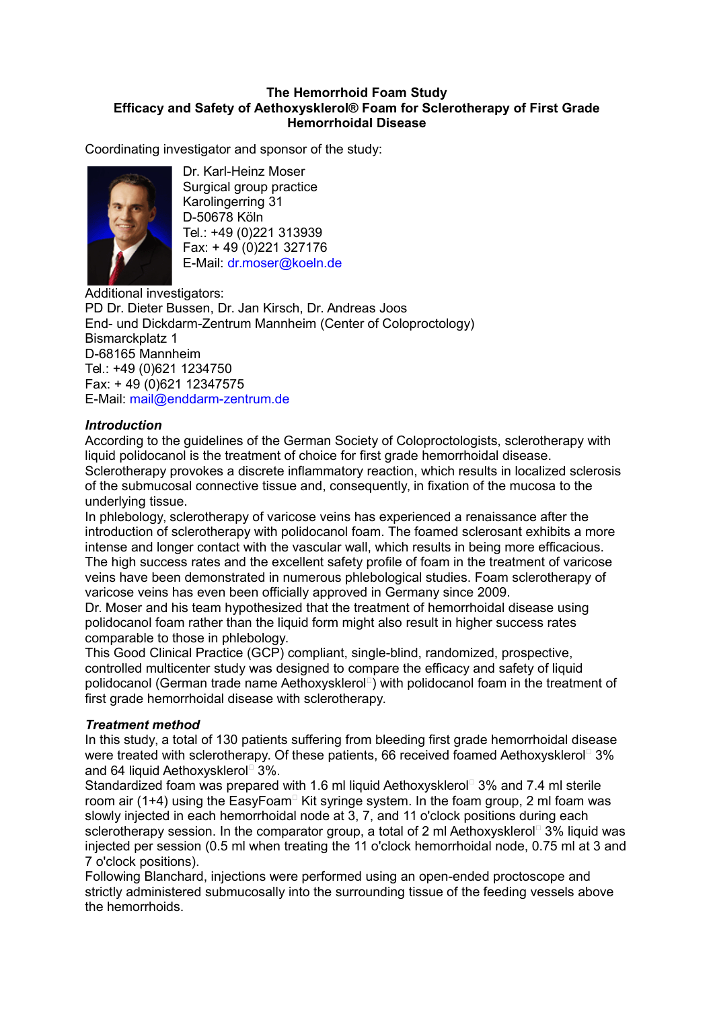## **The Hemorrhoid Foam Study Efficacy and Safety of Aethoxysklerol® Foam for Sclerotherapy of First Grade Hemorrhoidal Disease**

Coordinating investigator and sponsor of the study:



Dr. Karl-Heinz Moser Surgical group practice Karolingerring 31 D-50678 Köln Tel.: +49 (0)221 313939 Fax: + 49 (0)221 327176 E-Mail: dr.moser@koeln.de

Additional investigators: PD Dr. Dieter Bussen, Dr. Jan Kirsch, Dr. Andreas Joos End- und Dickdarm-Zentrum Mannheim (Center of Coloproctology) Bismarckplatz 1 D-68165 Mannheim Tel.: +49 (0)621 1234750 Fax: + 49 (0)621 12347575 E-Mail: [mail@enddarm-zentrum.de](mailto:mail@enddarm-zentrum.de)

## *Introduction*

According to the guidelines of the German Society of Coloproctologists, sclerotherapy with liquid polidocanol is the treatment of choice for first grade hemorrhoidal disease. Sclerotherapy provokes a discrete inflammatory reaction, which results in localized sclerosis of the submucosal connective tissue and, consequently, in fixation of the mucosa to the underlying tissue.

In phlebology, sclerotherapy of varicose veins has experienced a renaissance after the introduction of sclerotherapy with polidocanol foam. The foamed sclerosant exhibits a more intense and longer contact with the vascular wall, which results in being more efficacious. The high success rates and the excellent safety profile of foam in the treatment of varicose veins have been demonstrated in numerous phlebological studies. Foam sclerotherapy of varicose veins has even been officially approved in Germany since 2009.

Dr. Moser and his team hypothesized that the treatment of hemorrhoidal disease using polidocanol foam rather than the liquid form might also result in higher success rates comparable to those in phlebology.

This Good Clinical Practice (GCP) compliant, single-blind, randomized, prospective, controlled multicenter study was designed to compare the efficacy and safety of liquid polidocanol (German trade name Aethoxysklerol<sup>d</sup>) with polidocanol foam in the treatment of first grade hemorrhoidal disease with sclerotherapy.

## *Treatment method*

In this study, a total of 130 patients suffering from bleeding first grade hemorrhoidal disease were treated with sclerotherapy. Of these patients, 66 received foamed Aethoxysklerol<sup>®</sup> 3% and 64 liquid Aethoxysklerol 3%.

Standardized foam was prepared with 1.6 ml liquid Aethoxysklerol<sup>®</sup> 3% and 7.4 ml sterile room air (1+4) using the EasyFoam $\Box$  Kit syringe system. In the foam group, 2 ml foam was slowly injected in each hemorrhoidal node at 3, 7, and 11 o'clock positions during each sclerotherapy session. In the comparator group, a total of 2 ml Aethoxysklerol<sup> $\Box$ </sup> 3% liquid was injected per session (0.5 ml when treating the 11 o'clock hemorrhoidal node, 0.75 ml at 3 and 7 o'clock positions).

Following Blanchard, injections were performed using an open-ended proctoscope and strictly administered submucosally into the surrounding tissue of the feeding vessels above the hemorrhoids.